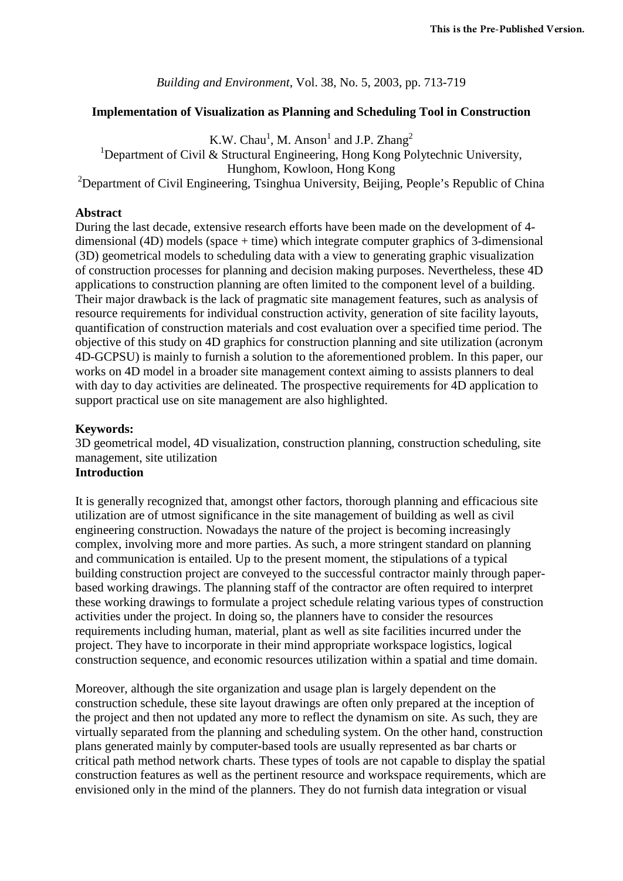*Building and Environment*, Vol. 38, No. 5, 2003, pp. 713-719

#### **Implementation of Visualization as Planning and Scheduling Tool in Construction**

K.W. Chau<sup>1</sup>, M. Anson<sup>1</sup> and J.P. Zhang<sup>2</sup> <sup>1</sup>Department of Civil & Structural Engineering, Hong Kong Polytechnic University, Hunghom, Kowloon, Hong Kong <sup>2</sup>Department of Civil Engineering, Tsinghua University, Beijing, People's Republic of China

#### **Abstract**

During the last decade, extensive research efforts have been made on the development of 4 dimensional (4D) models (space + time) which integrate computer graphics of 3-dimensional (3D) geometrical models to scheduling data with a view to generating graphic visualization of construction processes for planning and decision making purposes. Nevertheless, these 4D applications to construction planning are often limited to the component level of a building. Their major drawback is the lack of pragmatic site management features, such as analysis of resource requirements for individual construction activity, generation of site facility layouts, quantification of construction materials and cost evaluation over a specified time period. The objective of this study on 4D graphics for construction planning and site utilization (acronym 4D-GCPSU) is mainly to furnish a solution to the aforementioned problem. In this paper, our works on 4D model in a broader site management context aiming to assists planners to deal with day to day activities are delineated. The prospective requirements for 4D application to support practical use on site management are also highlighted.

### **Keywords:**

3D geometrical model, 4D visualization, construction planning, construction scheduling, site management, site utilization **Introduction**

It is generally recognized that, amongst other factors, thorough planning and efficacious site utilization are of utmost significance in the site management of building as well as civil engineering construction. Nowadays the nature of the project is becoming increasingly complex, involving more and more parties. As such, a more stringent standard on planning and communication is entailed. Up to the present moment, the stipulations of a typical building construction project are conveyed to the successful contractor mainly through paperbased working drawings. The planning staff of the contractor are often required to interpret these working drawings to formulate a project schedule relating various types of construction activities under the project. In doing so, the planners have to consider the resources requirements including human, material, plant as well as site facilities incurred under the project. They have to incorporate in their mind appropriate workspace logistics, logical construction sequence, and economic resources utilization within a spatial and time domain.

Moreover, although the site organization and usage plan is largely dependent on the construction schedule, these site layout drawings are often only prepared at the inception of the project and then not updated any more to reflect the dynamism on site. As such, they are virtually separated from the planning and scheduling system. On the other hand, construction plans generated mainly by computer-based tools are usually represented as bar charts or critical path method network charts. These types of tools are not capable to display the spatial construction features as well as the pertinent resource and workspace requirements, which are envisioned only in the mind of the planners. They do not furnish data integration or visual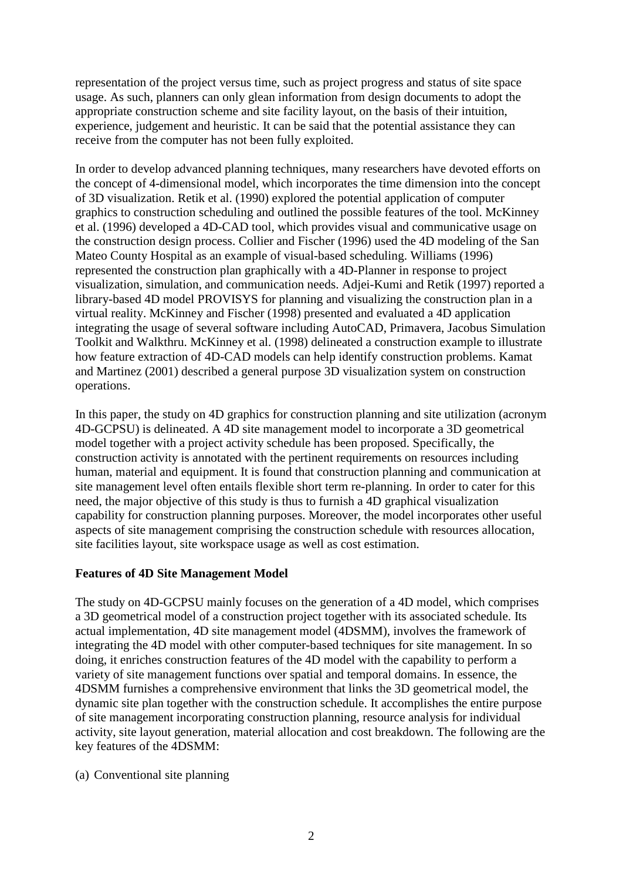representation of the project versus time, such as project progress and status of site space usage. As such, planners can only glean information from design documents to adopt the appropriate construction scheme and site facility layout, on the basis of their intuition, experience, judgement and heuristic. It can be said that the potential assistance they can receive from the computer has not been fully exploited.

In order to develop advanced planning techniques, many researchers have devoted efforts on the concept of 4-dimensional model, which incorporates the time dimension into the concept of 3D visualization. Retik et al. (1990) explored the potential application of computer graphics to construction scheduling and outlined the possible features of the tool. McKinney et al. (1996) developed a 4D-CAD tool, which provides visual and communicative usage on the construction design process. Collier and Fischer (1996) used the 4D modeling of the San Mateo County Hospital as an example of visual-based scheduling. Williams (1996) represented the construction plan graphically with a 4D-Planner in response to project visualization, simulation, and communication needs. Adjei-Kumi and Retik (1997) reported a library-based 4D model PROVISYS for planning and visualizing the construction plan in a virtual reality. McKinney and Fischer (1998) presented and evaluated a 4D application integrating the usage of several software including AutoCAD, Primavera, Jacobus Simulation Toolkit and Walkthru. McKinney et al. (1998) delineated a construction example to illustrate how feature extraction of 4D-CAD models can help identify construction problems. Kamat and Martinez (2001) described a general purpose 3D visualization system on construction operations.

In this paper, the study on 4D graphics for construction planning and site utilization (acronym 4D-GCPSU) is delineated. A 4D site management model to incorporate a 3D geometrical model together with a project activity schedule has been proposed. Specifically, the construction activity is annotated with the pertinent requirements on resources including human, material and equipment. It is found that construction planning and communication at site management level often entails flexible short term re-planning. In order to cater for this need, the major objective of this study is thus to furnish a 4D graphical visualization capability for construction planning purposes. Moreover, the model incorporates other useful aspects of site management comprising the construction schedule with resources allocation, site facilities layout, site workspace usage as well as cost estimation.

# **Features of 4D Site Management Model**

The study on 4D-GCPSU mainly focuses on the generation of a 4D model, which comprises a 3D geometrical model of a construction project together with its associated schedule. Its actual implementation, 4D site management model (4DSMM), involves the framework of integrating the 4D model with other computer-based techniques for site management. In so doing, it enriches construction features of the 4D model with the capability to perform a variety of site management functions over spatial and temporal domains. In essence, the 4DSMM furnishes a comprehensive environment that links the 3D geometrical model, the dynamic site plan together with the construction schedule. It accomplishes the entire purpose of site management incorporating construction planning, resource analysis for individual activity, site layout generation, material allocation and cost breakdown. The following are the key features of the 4DSMM:

### (a) Conventional site planning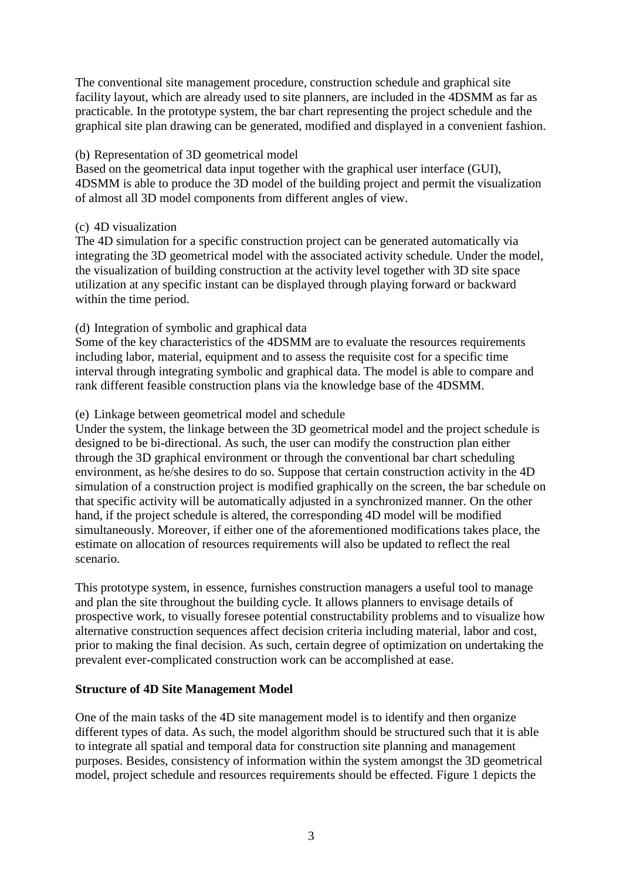The conventional site management procedure, construction schedule and graphical site facility layout, which are already used to site planners, are included in the 4DSMM as far as practicable. In the prototype system, the bar chart representing the project schedule and the graphical site plan drawing can be generated, modified and displayed in a convenient fashion.

### (b) Representation of 3D geometrical model

Based on the geometrical data input together with the graphical user interface (GUI), 4DSMM is able to produce the 3D model of the building project and permit the visualization of almost all 3D model components from different angles of view.

## (c) 4D visualization

The 4D simulation for a specific construction project can be generated automatically via integrating the 3D geometrical model with the associated activity schedule. Under the model, the visualization of building construction at the activity level together with 3D site space utilization at any specific instant can be displayed through playing forward or backward within the time period.

# (d) Integration of symbolic and graphical data

Some of the key characteristics of the 4DSMM are to evaluate the resources requirements including labor, material, equipment and to assess the requisite cost for a specific time interval through integrating symbolic and graphical data. The model is able to compare and rank different feasible construction plans via the knowledge base of the 4DSMM.

## (e) Linkage between geometrical model and schedule

Under the system, the linkage between the 3D geometrical model and the project schedule is designed to be bi-directional. As such, the user can modify the construction plan either through the 3D graphical environment or through the conventional bar chart scheduling environment, as he/she desires to do so. Suppose that certain construction activity in the 4D simulation of a construction project is modified graphically on the screen, the bar schedule on that specific activity will be automatically adjusted in a synchronized manner. On the other hand, if the project schedule is altered, the corresponding 4D model will be modified simultaneously. Moreover, if either one of the aforementioned modifications takes place, the estimate on allocation of resources requirements will also be updated to reflect the real scenario.

This prototype system, in essence, furnishes construction managers a useful tool to manage and plan the site throughout the building cycle. It allows planners to envisage details of prospective work, to visually foresee potential constructability problems and to visualize how alternative construction sequences affect decision criteria including material, labor and cost, prior to making the final decision. As such, certain degree of optimization on undertaking the prevalent ever-complicated construction work can be accomplished at ease.

# **Structure of 4D Site Management Model**

One of the main tasks of the 4D site management model is to identify and then organize different types of data. As such, the model algorithm should be structured such that it is able to integrate all spatial and temporal data for construction site planning and management purposes. Besides, consistency of information within the system amongst the 3D geometrical model, project schedule and resources requirements should be effected. Figure 1 depicts the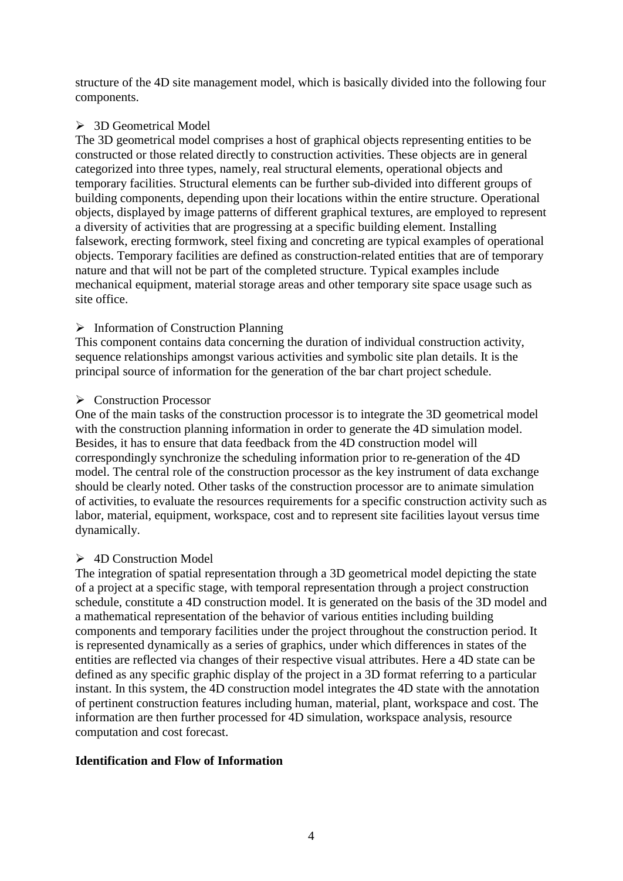structure of the 4D site management model, which is basically divided into the following four components.

# > 3D Geometrical Model

The 3D geometrical model comprises a host of graphical objects representing entities to be constructed or those related directly to construction activities. These objects are in general categorized into three types, namely, real structural elements, operational objects and temporary facilities. Structural elements can be further sub-divided into different groups of building components, depending upon their locations within the entire structure. Operational objects, displayed by image patterns of different graphical textures, are employed to represent a diversity of activities that are progressing at a specific building element. Installing falsework, erecting formwork, steel fixing and concreting are typical examples of operational objects. Temporary facilities are defined as construction-related entities that are of temporary nature and that will not be part of the completed structure. Typical examples include mechanical equipment, material storage areas and other temporary site space usage such as site office.

# $\triangleright$  Information of Construction Planning

This component contains data concerning the duration of individual construction activity, sequence relationships amongst various activities and symbolic site plan details. It is the principal source of information for the generation of the bar chart project schedule.

# **►** Construction Processor

One of the main tasks of the construction processor is to integrate the 3D geometrical model with the construction planning information in order to generate the 4D simulation model. Besides, it has to ensure that data feedback from the 4D construction model will correspondingly synchronize the scheduling information prior to re-generation of the 4D model. The central role of the construction processor as the key instrument of data exchange should be clearly noted. Other tasks of the construction processor are to animate simulation of activities, to evaluate the resources requirements for a specific construction activity such as labor, material, equipment, workspace, cost and to represent site facilities layout versus time dynamically.

# **► 4D Construction Model**

The integration of spatial representation through a 3D geometrical model depicting the state of a project at a specific stage, with temporal representation through a project construction schedule, constitute a 4D construction model. It is generated on the basis of the 3D model and a mathematical representation of the behavior of various entities including building components and temporary facilities under the project throughout the construction period. It is represented dynamically as a series of graphics, under which differences in states of the entities are reflected via changes of their respective visual attributes. Here a 4D state can be defined as any specific graphic display of the project in a 3D format referring to a particular instant. In this system, the 4D construction model integrates the 4D state with the annotation of pertinent construction features including human, material, plant, workspace and cost. The information are then further processed for 4D simulation, workspace analysis, resource computation and cost forecast.

# **Identification and Flow of Information**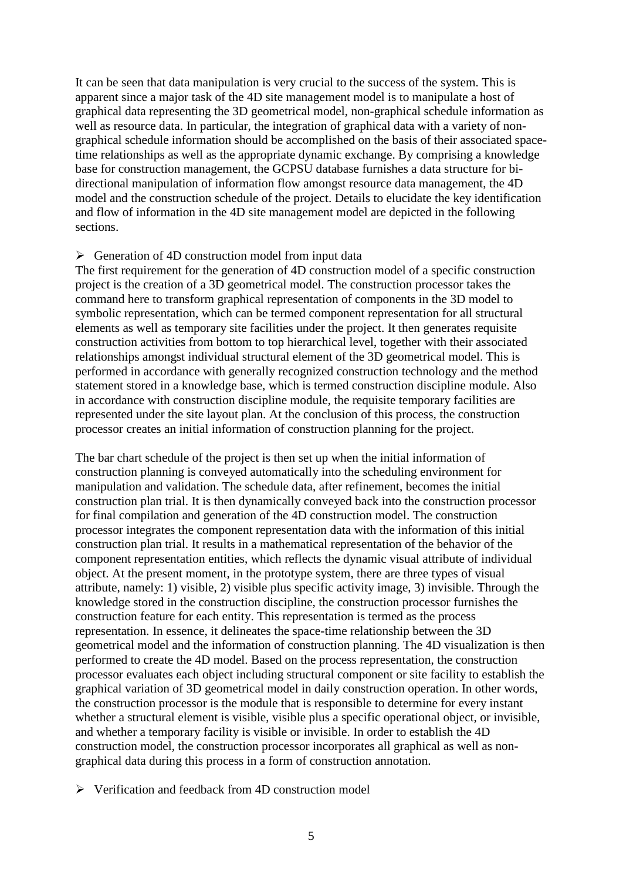It can be seen that data manipulation is very crucial to the success of the system. This is apparent since a major task of the 4D site management model is to manipulate a host of graphical data representing the 3D geometrical model, non-graphical schedule information as well as resource data. In particular, the integration of graphical data with a variety of nongraphical schedule information should be accomplished on the basis of their associated spacetime relationships as well as the appropriate dynamic exchange. By comprising a knowledge base for construction management, the GCPSU database furnishes a data structure for bidirectional manipulation of information flow amongst resource data management, the 4D model and the construction schedule of the project. Details to elucidate the key identification and flow of information in the 4D site management model are depicted in the following sections.

#### $\triangleright$  Generation of 4D construction model from input data

The first requirement for the generation of 4D construction model of a specific construction project is the creation of a 3D geometrical model. The construction processor takes the command here to transform graphical representation of components in the 3D model to symbolic representation, which can be termed component representation for all structural elements as well as temporary site facilities under the project. It then generates requisite construction activities from bottom to top hierarchical level, together with their associated relationships amongst individual structural element of the 3D geometrical model. This is performed in accordance with generally recognized construction technology and the method statement stored in a knowledge base, which is termed construction discipline module. Also in accordance with construction discipline module, the requisite temporary facilities are represented under the site layout plan. At the conclusion of this process, the construction processor creates an initial information of construction planning for the project.

The bar chart schedule of the project is then set up when the initial information of construction planning is conveyed automatically into the scheduling environment for manipulation and validation. The schedule data, after refinement, becomes the initial construction plan trial. It is then dynamically conveyed back into the construction processor for final compilation and generation of the 4D construction model. The construction processor integrates the component representation data with the information of this initial construction plan trial. It results in a mathematical representation of the behavior of the component representation entities, which reflects the dynamic visual attribute of individual object. At the present moment, in the prototype system, there are three types of visual attribute, namely: 1) visible, 2) visible plus specific activity image, 3) invisible. Through the knowledge stored in the construction discipline, the construction processor furnishes the construction feature for each entity. This representation is termed as the process representation. In essence, it delineates the space-time relationship between the 3D geometrical model and the information of construction planning. The 4D visualization is then performed to create the 4D model. Based on the process representation, the construction processor evaluates each object including structural component or site facility to establish the graphical variation of 3D geometrical model in daily construction operation. In other words, the construction processor is the module that is responsible to determine for every instant whether a structural element is visible, visible plus a specific operational object, or invisible, and whether a temporary facility is visible or invisible. In order to establish the 4D construction model, the construction processor incorporates all graphical as well as nongraphical data during this process in a form of construction annotation.

 $\triangleright$  Verification and feedback from 4D construction model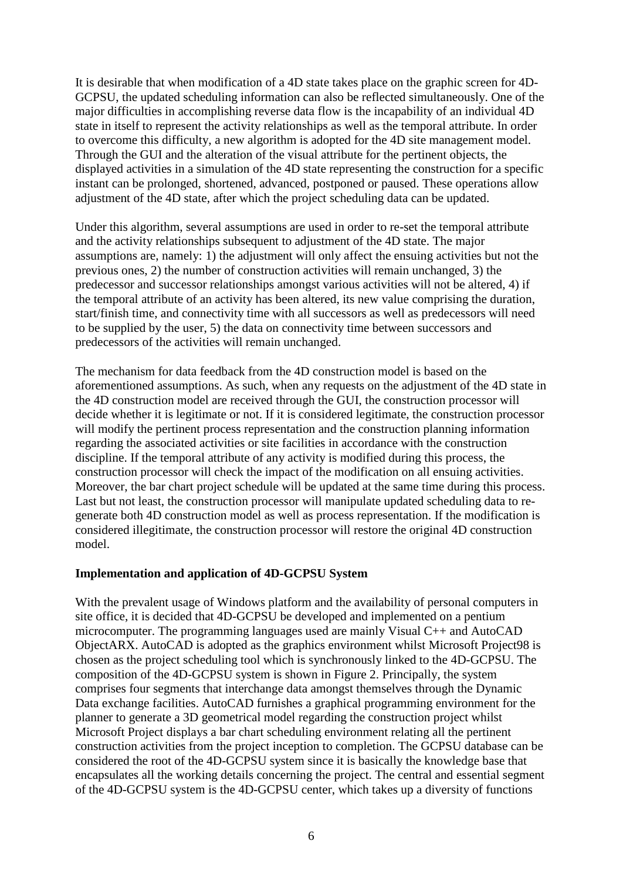It is desirable that when modification of a 4D state takes place on the graphic screen for 4D-GCPSU, the updated scheduling information can also be reflected simultaneously. One of the major difficulties in accomplishing reverse data flow is the incapability of an individual 4D state in itself to represent the activity relationships as well as the temporal attribute. In order to overcome this difficulty, a new algorithm is adopted for the 4D site management model. Through the GUI and the alteration of the visual attribute for the pertinent objects, the displayed activities in a simulation of the 4D state representing the construction for a specific instant can be prolonged, shortened, advanced, postponed or paused. These operations allow adjustment of the 4D state, after which the project scheduling data can be updated.

Under this algorithm, several assumptions are used in order to re-set the temporal attribute and the activity relationships subsequent to adjustment of the 4D state. The major assumptions are, namely: 1) the adjustment will only affect the ensuing activities but not the previous ones, 2) the number of construction activities will remain unchanged, 3) the predecessor and successor relationships amongst various activities will not be altered, 4) if the temporal attribute of an activity has been altered, its new value comprising the duration, start/finish time, and connectivity time with all successors as well as predecessors will need to be supplied by the user, 5) the data on connectivity time between successors and predecessors of the activities will remain unchanged.

The mechanism for data feedback from the 4D construction model is based on the aforementioned assumptions. As such, when any requests on the adjustment of the 4D state in the 4D construction model are received through the GUI, the construction processor will decide whether it is legitimate or not. If it is considered legitimate, the construction processor will modify the pertinent process representation and the construction planning information regarding the associated activities or site facilities in accordance with the construction discipline. If the temporal attribute of any activity is modified during this process, the construction processor will check the impact of the modification on all ensuing activities. Moreover, the bar chart project schedule will be updated at the same time during this process. Last but not least, the construction processor will manipulate updated scheduling data to regenerate both 4D construction model as well as process representation. If the modification is considered illegitimate, the construction processor will restore the original 4D construction model.

### **Implementation and application of 4D-GCPSU System**

With the prevalent usage of Windows platform and the availability of personal computers in site office, it is decided that 4D-GCPSU be developed and implemented on a pentium microcomputer. The programming languages used are mainly Visual C++ and AutoCAD ObjectARX. AutoCAD is adopted as the graphics environment whilst Microsoft Project98 is chosen as the project scheduling tool which is synchronously linked to the 4D-GCPSU. The composition of the 4D-GCPSU system is shown in Figure 2. Principally, the system comprises four segments that interchange data amongst themselves through the Dynamic Data exchange facilities. AutoCAD furnishes a graphical programming environment for the planner to generate a 3D geometrical model regarding the construction project whilst Microsoft Project displays a bar chart scheduling environment relating all the pertinent construction activities from the project inception to completion. The GCPSU database can be considered the root of the 4D-GCPSU system since it is basically the knowledge base that encapsulates all the working details concerning the project. The central and essential segment of the 4D-GCPSU system is the 4D-GCPSU center, which takes up a diversity of functions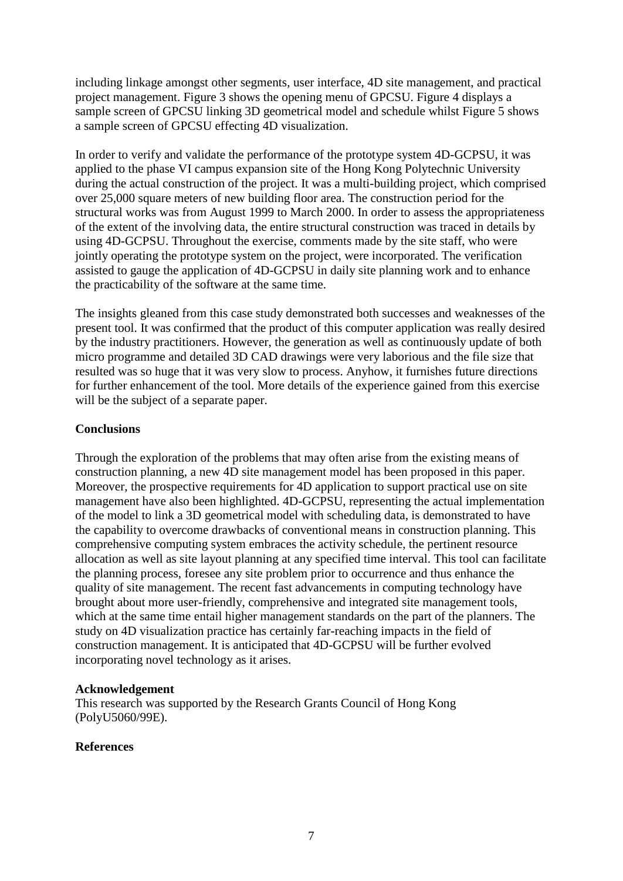including linkage amongst other segments, user interface, 4D site management, and practical project management. Figure 3 shows the opening menu of GPCSU. Figure 4 displays a sample screen of GPCSU linking 3D geometrical model and schedule whilst Figure 5 shows a sample screen of GPCSU effecting 4D visualization.

In order to verify and validate the performance of the prototype system 4D-GCPSU, it was applied to the phase VI campus expansion site of the Hong Kong Polytechnic University during the actual construction of the project. It was a multi-building project, which comprised over 25,000 square meters of new building floor area. The construction period for the structural works was from August 1999 to March 2000. In order to assess the appropriateness of the extent of the involving data, the entire structural construction was traced in details by using 4D-GCPSU. Throughout the exercise, comments made by the site staff, who were jointly operating the prototype system on the project, were incorporated. The verification assisted to gauge the application of 4D-GCPSU in daily site planning work and to enhance the practicability of the software at the same time.

The insights gleaned from this case study demonstrated both successes and weaknesses of the present tool. It was confirmed that the product of this computer application was really desired by the industry practitioners. However, the generation as well as continuously update of both micro programme and detailed 3D CAD drawings were very laborious and the file size that resulted was so huge that it was very slow to process. Anyhow, it furnishes future directions for further enhancement of the tool. More details of the experience gained from this exercise will be the subject of a separate paper.

## **Conclusions**

Through the exploration of the problems that may often arise from the existing means of construction planning, a new 4D site management model has been proposed in this paper. Moreover, the prospective requirements for 4D application to support practical use on site management have also been highlighted. 4D-GCPSU, representing the actual implementation of the model to link a 3D geometrical model with scheduling data, is demonstrated to have the capability to overcome drawbacks of conventional means in construction planning. This comprehensive computing system embraces the activity schedule, the pertinent resource allocation as well as site layout planning at any specified time interval. This tool can facilitate the planning process, foresee any site problem prior to occurrence and thus enhance the quality of site management. The recent fast advancements in computing technology have brought about more user-friendly, comprehensive and integrated site management tools, which at the same time entail higher management standards on the part of the planners. The study on 4D visualization practice has certainly far-reaching impacts in the field of construction management. It is anticipated that 4D-GCPSU will be further evolved incorporating novel technology as it arises.

### **Acknowledgement**

This research was supported by the Research Grants Council of Hong Kong (PolyU5060/99E).

### **References**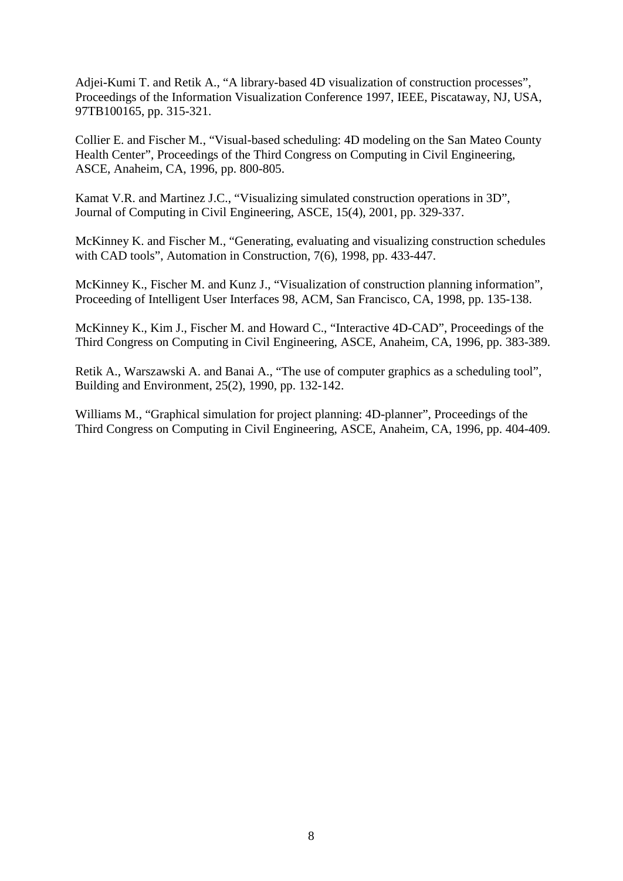Adjei-Kumi T. and Retik A., "A library-based 4D visualization of construction processes", Proceedings of the Information Visualization Conference 1997, IEEE, Piscataway, NJ, USA, 97TB100165, pp. 315-321.

Collier E. and Fischer M., "Visual-based scheduling: 4D modeling on the San Mateo County Health Center", Proceedings of the Third Congress on Computing in Civil Engineering, ASCE, Anaheim, CA, 1996, pp. 800-805.

Kamat V.R. and Martinez J.C., "Visualizing simulated construction operations in 3D", Journal of Computing in Civil Engineering, ASCE, 15(4), 2001, pp. 329-337.

McKinney K. and Fischer M., "Generating, evaluating and visualizing construction schedules with CAD tools", Automation in Construction, 7(6), 1998, pp. 433-447.

McKinney K., Fischer M. and Kunz J., "Visualization of construction planning information", Proceeding of Intelligent User Interfaces 98, ACM, San Francisco, CA, 1998, pp. 135-138.

McKinney K., Kim J., Fischer M. and Howard C., "Interactive 4D-CAD", Proceedings of the Third Congress on Computing in Civil Engineering, ASCE, Anaheim, CA, 1996, pp. 383-389.

Retik A., Warszawski A. and Banai A., "The use of computer graphics as a scheduling tool", Building and Environment, 25(2), 1990, pp. 132-142.

Williams M., "Graphical simulation for project planning: 4D-planner", Proceedings of the Third Congress on Computing in Civil Engineering, ASCE, Anaheim, CA, 1996, pp. 404-409.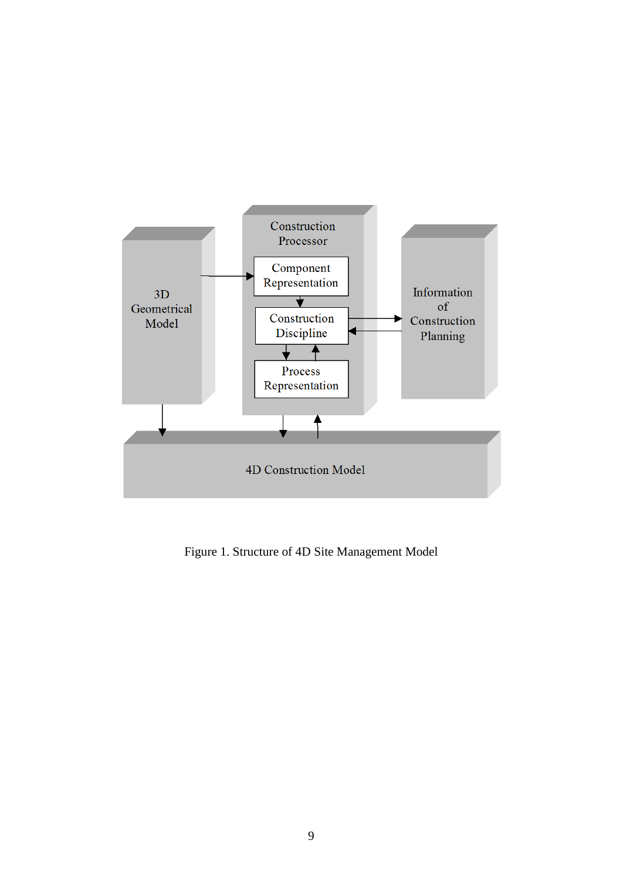

Figure 1. Structure of 4D Site Management Model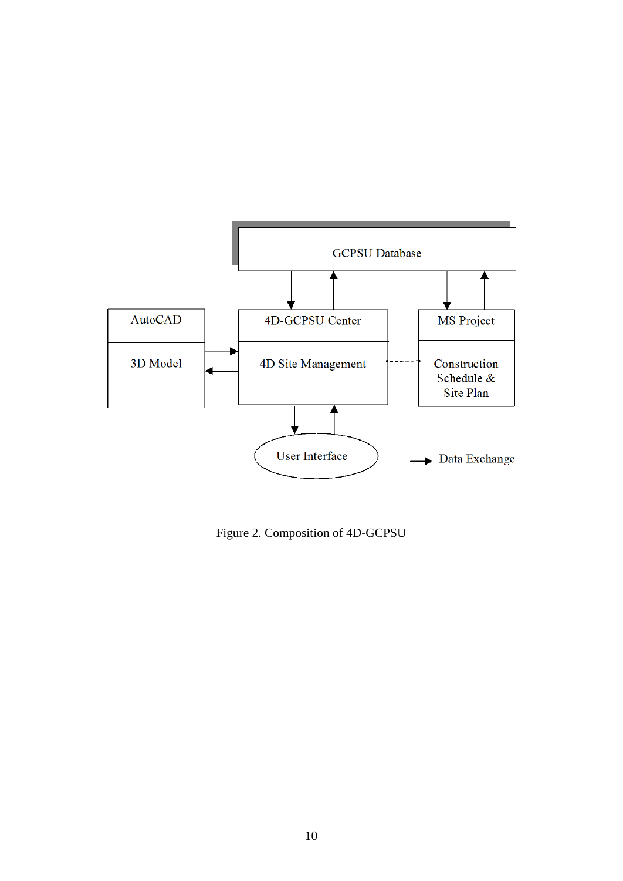

Figure 2. Composition of 4D-GCPSU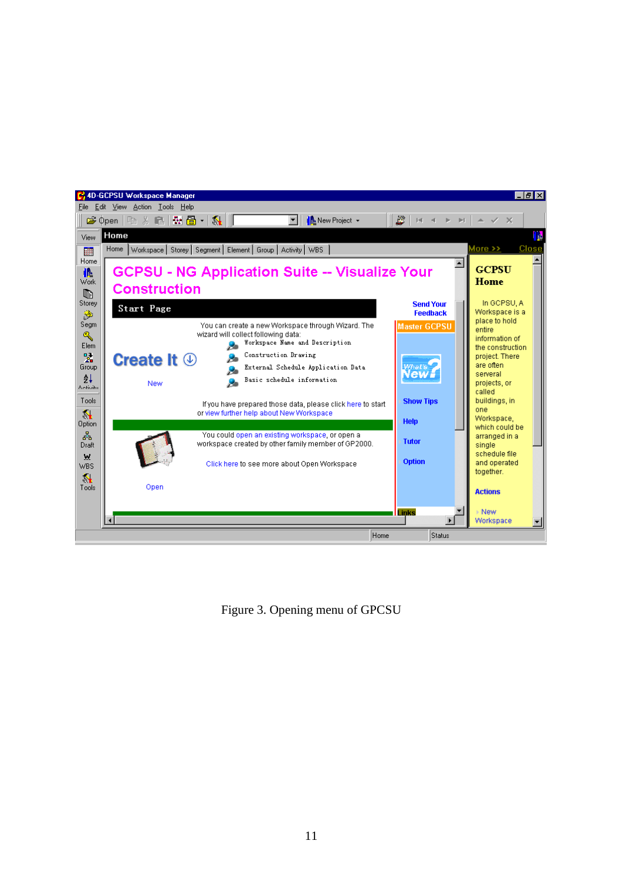

Figure 3. Opening menu of GPCSU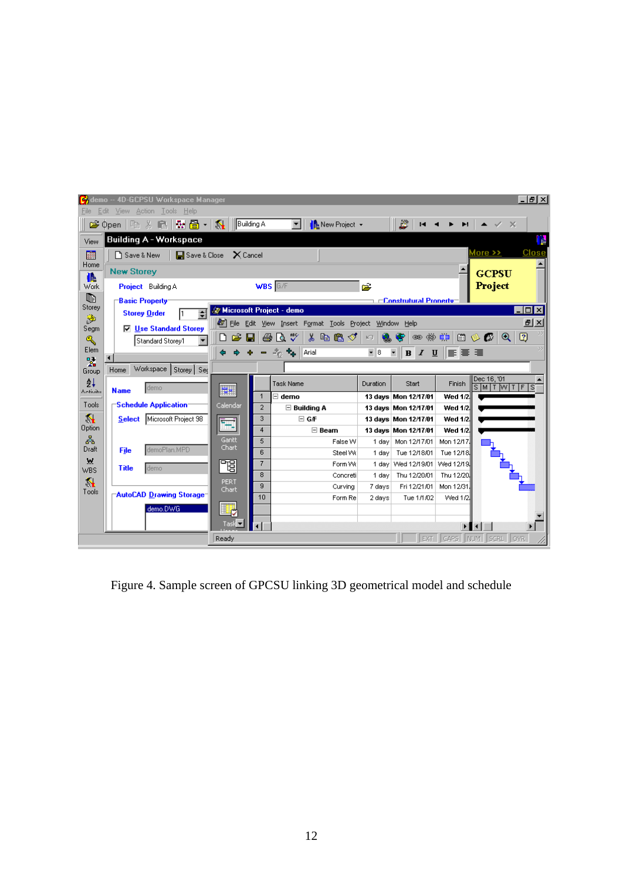| <u> - 레지</u><br><b>C</b> demo -- 4D-GCPSU Workspace Manager<br>Edit View Action Tools Help<br>File |                                                                                                                                         |                                        |                     |                      |          |                      |                |                             |
|----------------------------------------------------------------------------------------------------|-----------------------------------------------------------------------------------------------------------------------------------------|----------------------------------------|---------------------|----------------------|----------|----------------------|----------------|-----------------------------|
|                                                                                                    | ☞ Open   �� ※ ■   ₩ 圖 -   双    Building A                                                                                               |                                        |                     | ▾<br>New Project +   |          | È                    |                | $\checkmark$ X              |
| View                                                                                               | <b>Building A - Workspace</b><br>區                                                                                                      |                                        |                     |                      |          |                      |                |                             |
| 購                                                                                                  | More >><br><b>El</b> Save & Close<br>$\times$ Cancel<br>□ Save & New<br><b>New Storey</b><br><b>GCPSU</b>                               |                                        |                     |                      |          |                      |                |                             |
| Home                                                                                               |                                                                                                                                         |                                        |                     |                      |          |                      |                |                             |
| 藤<br>Work                                                                                          | Project Building A                                                                                                                      |                                        | <b>WBS</b> G/F      |                      | ڪو       |                      |                | Project                     |
| q.                                                                                                 | <b>Basic Property</b><br>$\sqsubset$ Construtural Property<br><b>&amp; Microsoft Project - demo</b><br>- 미×<br>∔<br><b>Storey Order</b> |                                        |                     |                      |          |                      |                |                             |
| Storey<br>Ž                                                                                        |                                                                                                                                         |                                        |                     |                      |          |                      |                |                             |
| Segm                                                                                               | <b>□ Use Standard Storey</b>                                                                                                            | <u>alx</u><br>$\sqrt{2}$<br>$^{\circ}$ |                     |                      |          |                      |                |                             |
| ٩                                                                                                  | ि∛<br>ඐ ∉‱ ≣ෲ<br>よも色ぐ<br>白多伊<br>e H<br>a<br>œ<br>$\left\vert \mathcal{C}\right\rangle$<br>嗯.<br>Standard Storey1                        |                                        |                     |                      |          |                      |                |                             |
| Elem<br>럷                                                                                          | $-8$<br>$\overline{\phantom{a}}$<br>$\Phi_{\rm th}$<br>$B$ <i>I</i> $U$<br>$E_{\rm G}$<br>Arial<br>∥≣∑≣ ≣                               |                                        |                     |                      |          |                      |                |                             |
| Group                                                                                              | Workspace   Storey   Sec<br>Home                                                                                                        |                                        |                     |                      |          |                      |                |                             |
| ĝ↓                                                                                                 | demo<br><b>Name</b>                                                                                                                     | E                                      |                     | <b>Task Name</b>     | Duration | Start                | Finish         | Dec 16, '01<br>SMITWIT<br>F |
| Azdivihi                                                                                           |                                                                                                                                         |                                        | $\mathbf{1}$        | $\boxdot$ demo       |          | 13 days Mon 12/17/01 | <b>Wed 1/2</b> |                             |
| Tools                                                                                              | Schedule Application-                                                                                                                   | Calendar                               | $\overline{2}$      | $\boxdot$ Building A |          | 13 days Mon 12/17/01 | <b>Wed 1/2</b> |                             |
| ₹                                                                                                  | Microsoft Project 98<br><b>Select</b>                                                                                                   | ŦŦ                                     | 3                   | □ GÆ                 |          | 13 days Mon 12/17/01 | <b>Wed 1/2</b> |                             |
| <b>Option</b>                                                                                      |                                                                                                                                         |                                        | 4                   | $\boxminus$ Beam     |          | 13 days Mon 12/17/01 | <b>Wed 1/2</b> |                             |
| 晶<br>Draft                                                                                         | demoPlan.MPD<br>File                                                                                                                    | Gantt<br>Chart                         | 5                   | False W              | 1 day    | Mon 12/17/01         | Mon 12/17      |                             |
| W                                                                                                  |                                                                                                                                         |                                        | 6                   | Steel Wk             | 1 day    | Tue 12/18/01         | Tue 12/18      |                             |
| WBS                                                                                                | <b>Title</b><br>demo                                                                                                                    | 岡                                      | 7                   | Form Wk              |          | 1 day   Wed 12/19/01 | Wed 12/19.     |                             |
| ₹                                                                                                  |                                                                                                                                         | PERT                                   | 8<br>$\overline{9}$ | Concreti             | 1 dav    | Thu 12/20/01         | Thu 12/20.     |                             |
| Tools                                                                                              | "AutoCAD Drawing Storage"                                                                                                               | Chart                                  | 10                  | Curvina              | 7 days   | Fri 12/21/01         | Mon 12/31      |                             |
|                                                                                                    | demo.DWG                                                                                                                                |                                        |                     | Form Re              | 2 days   | Tue 1/1/02           | Wed 1/2.       |                             |
|                                                                                                    |                                                                                                                                         | 戰                                      |                     |                      |          |                      |                |                             |
|                                                                                                    |                                                                                                                                         | Task <del>-</del>                      | $\blacksquare$      |                      |          |                      |                |                             |
| EXT   CAPS   NUM   SCRL   OVR<br>Ready                                                             |                                                                                                                                         |                                        |                     |                      |          |                      |                |                             |

Figure 4. Sample screen of GPCSU linking 3D geometrical model and schedule